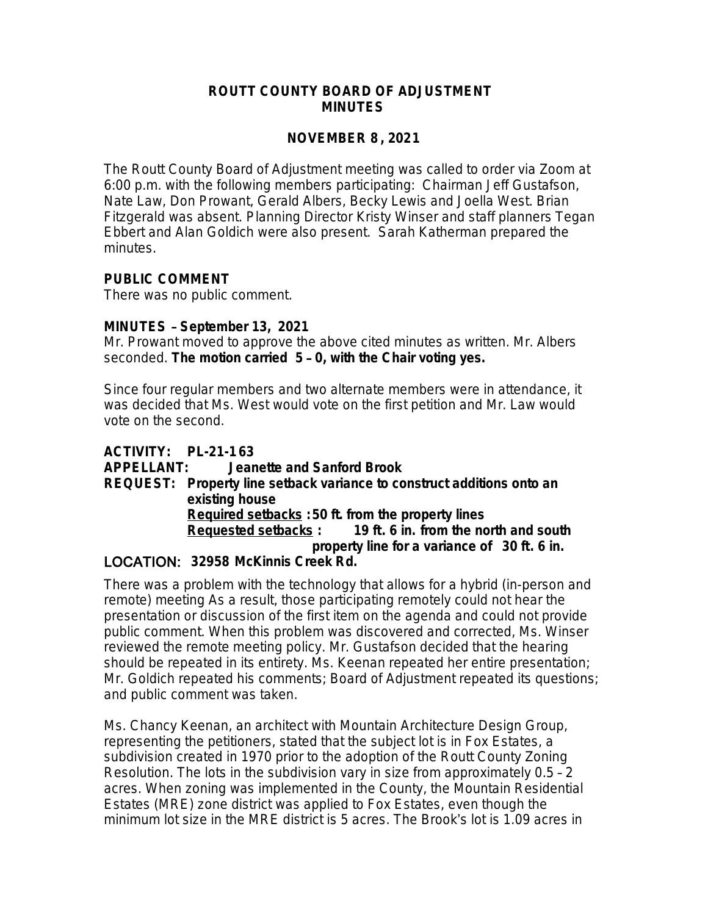### **ROUTT COUNTY BOARD OF ADJUSTMENT MINUTES**

### **NOVEMBER 8 , 2021**

The Routt County Board of Adjustment meeting was called to order via Zoom at 6:00 p.m. with the following members participating: Chairman Jeff Gustafson, Nate Law, Don Prowant, Gerald Albers, Becky Lewis and Joella West. Brian Fitzgerald was absent. Planning Director Kristy Winser and staff planners Tegan Ebbert and Alan Goldich were also present. Sarah Katherman prepared the minutes.

### **PUBLIC COMMENT**

There was no public comment.

### **MINUTES** – **September 13, 2021**

Mr. Prowant moved to approve the above cited minutes as written. Mr. Albers seconded. **The motion carried 5** – **0, with the Chair voting yes.**

Since four regular members and two alternate members were in attendance, it was decided that Ms. West would vote on the first petition and Mr. Law would vote on the second.

# **ACTIVITY: PL-21-163**

**APPELLANT: Jeanette and Sanford Brook REQUEST: Property line setback variance to construct additions onto an existing house Required setbacks :50 ft. from the property lines Requested setbacks : 19 ft. 6 in. from the north and south property line for a variance of 30 ft. 6 in.** LOCATION: **32958 McKinnis Creek Rd.**

There was a problem with the technology that allows for a hybrid (in-person and remote) meeting As a result, those participating remotely could not hear the presentation or discussion of the first item on the agenda and could not provide public comment. When this problem was discovered and corrected, Ms. Winser reviewed the remote meeting policy. Mr. Gustafson decided that the hearing should be repeated in its entirety. Ms. Keenan repeated her entire presentation; Mr. Goldich repeated his comments; Board of Adjustment repeated its questions; and public comment was taken.

Ms. Chancy Keenan, an architect with Mountain Architecture Design Group, representing the petitioners, stated that the subject lot is in Fox Estates, a subdivision created in 1970 prior to the adoption of the Routt County Zoning Resolution. The lots in the subdivision vary in size from approximately 0.5 – 2 acres. When zoning was implemented in the County, the Mountain Residential Estates (MRE) zone district was applied to Fox Estates, even though the minimum lot size in the MRE district is 5 acres. The Brook's lot is 1.09 acres in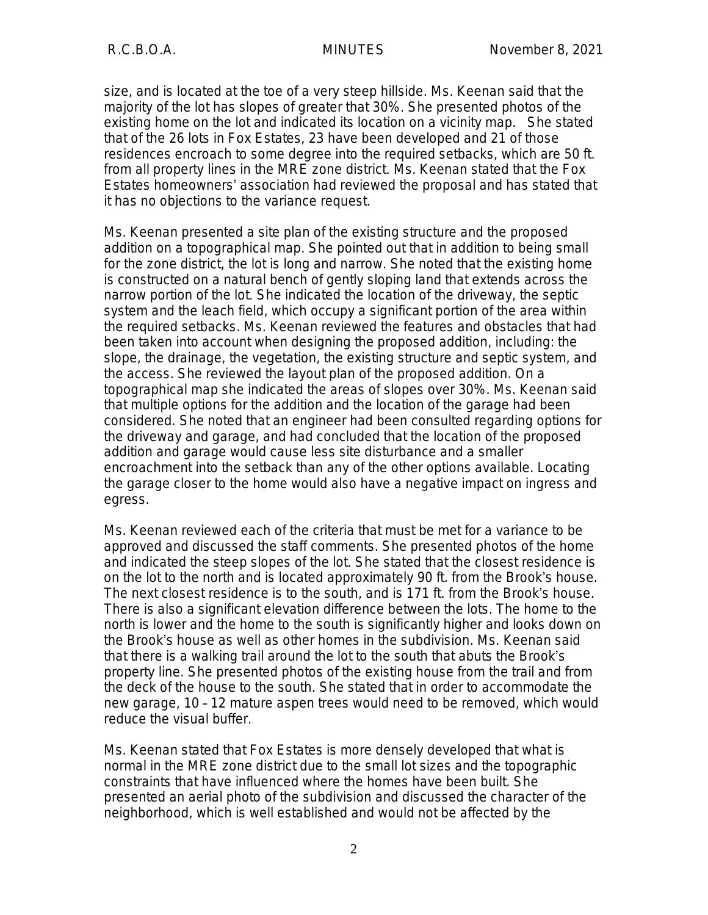size, and is located at the toe of a very steep hillside. Ms. Keenan said that the majority of the lot has slopes of greater that 30%. She presented photos of the existing home on the lot and indicated its location on a vicinity map. She stated that of the 26 lots in Fox Estates, 23 have been developed and 21 of those residences encroach to some degree into the required setbacks, which are 50 ft. from all property lines in the MRE zone district. Ms. Keenan stated that the Fox Estates homeowners' association had reviewed the proposal and has stated that it has no objections to the variance request.

Ms. Keenan presented a site plan of the existing structure and the proposed addition on a topographical map. She pointed out that in addition to being small for the zone district, the lot is long and narrow. She noted that the existing home is constructed on a natural bench of gently sloping land that extends across the narrow portion of the lot. She indicated the location of the driveway, the septic system and the leach field, which occupy a significant portion of the area within the required setbacks. Ms. Keenan reviewed the features and obstacles that had been taken into account when designing the proposed addition, including: the slope, the drainage, the vegetation, the existing structure and septic system, and the access. She reviewed the layout plan of the proposed addition. On a topographical map she indicated the areas of slopes over 30%. Ms. Keenan said that multiple options for the addition and the location of the garage had been considered. She noted that an engineer had been consulted regarding options for the driveway and garage, and had concluded that the location of the proposed addition and garage would cause less site disturbance and a smaller encroachment into the setback than any of the other options available. Locating the garage closer to the home would also have a negative impact on ingress and egress.

Ms. Keenan reviewed each of the criteria that must be met for a variance to be approved and discussed the staff comments. She presented photos of the home and indicated the steep slopes of the lot. She stated that the closest residence is on the lot to the north and is located approximately 90 ft. from the Brook's house. The next closest residence is to the south, and is 171 ft. from the Brook's house. There is also a significant elevation difference between the lots. The home to the north is lower and the home to the south is significantly higher and looks down on the Brook's house as well as other homes in the subdivision. Ms. Keenan said that there is a walking trail around the lot to the south that abuts the Brook's property line. She presented photos of the existing house from the trail and from the deck of the house to the south. She stated that in order to accommodate the new garage, 10 – 12 mature aspen trees would need to be removed, which would reduce the visual buffer.

Ms. Keenan stated that Fox Estates is more densely developed that what is normal in the MRE zone district due to the small lot sizes and the topographic constraints that have influenced where the homes have been built. She presented an aerial photo of the subdivision and discussed the character of the neighborhood, which is well established and would not be affected by the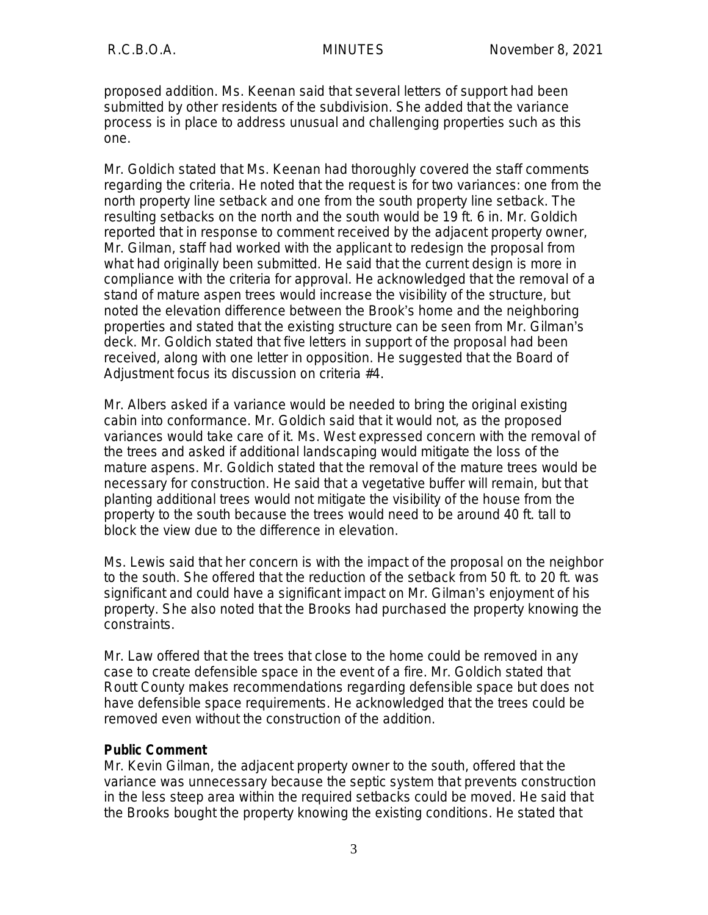proposed addition. Ms. Keenan said that several letters of support had been submitted by other residents of the subdivision. She added that the variance process is in place to address unusual and challenging properties such as this one.

Mr. Goldich stated that Ms. Keenan had thoroughly covered the staff comments regarding the criteria. He noted that the request is for two variances: one from the north property line setback and one from the south property line setback. The resulting setbacks on the north and the south would be 19 ft. 6 in. Mr. Goldich reported that in response to comment received by the adjacent property owner, Mr. Gilman, staff had worked with the applicant to redesign the proposal from what had originally been submitted. He said that the current design is more in compliance with the criteria for approval. He acknowledged that the removal of a stand of mature aspen trees would increase the visibility of the structure, but noted the elevation difference between the Brook's home and the neighboring properties and stated that the existing structure can be seen from Mr. Gilman's deck. Mr. Goldich stated that five letters in support of the proposal had been received, along with one letter in opposition. He suggested that the Board of Adjustment focus its discussion on criteria #4.

Mr. Albers asked if a variance would be needed to bring the original existing cabin into conformance. Mr. Goldich said that it would not, as the proposed variances would take care of it. Ms. West expressed concern with the removal of the trees and asked if additional landscaping would mitigate the loss of the mature aspens. Mr. Goldich stated that the removal of the mature trees would be necessary for construction. He said that a vegetative buffer will remain, but that planting additional trees would not mitigate the visibility of the house from the property to the south because the trees would need to be around 40 ft. tall to block the view due to the difference in elevation.

Ms. Lewis said that her concern is with the impact of the proposal on the neighbor to the south. She offered that the reduction of the setback from 50 ft. to 20 ft. was significant and could have a significant impact on Mr. Gilman's enjoyment of his property. She also noted that the Brooks had purchased the property knowing the constraints.

Mr. Law offered that the trees that close to the home could be removed in any case to create defensible space in the event of a fire. Mr. Goldich stated that Routt County makes recommendations regarding defensible space but does not have defensible space requirements. He acknowledged that the trees could be removed even without the construction of the addition.

#### **Public Comment**

Mr. Kevin Gilman, the adjacent property owner to the south, offered that the variance was unnecessary because the septic system that prevents construction in the less steep area within the required setbacks could be moved. He said that the Brooks bought the property knowing the existing conditions. He stated that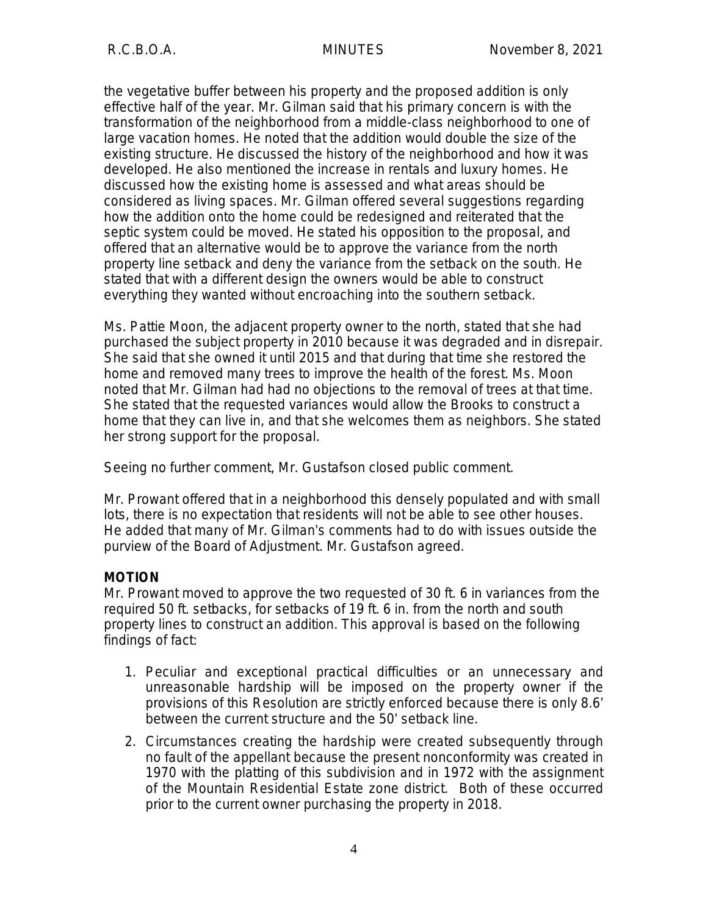the vegetative buffer between his property and the proposed addition is only effective half of the year. Mr. Gilman said that his primary concern is with the transformation of the neighborhood from a middle-class neighborhood to one of large vacation homes. He noted that the addition would double the size of the existing structure. He discussed the history of the neighborhood and how it was developed. He also mentioned the increase in rentals and luxury homes. He discussed how the existing home is assessed and what areas should be considered as living spaces. Mr. Gilman offered several suggestions regarding how the addition onto the home could be redesigned and reiterated that the septic system could be moved. He stated his opposition to the proposal, and offered that an alternative would be to approve the variance from the north property line setback and deny the variance from the setback on the south. He stated that with a different design the owners would be able to construct everything they wanted without encroaching into the southern setback.

Ms. Pattie Moon, the adjacent property owner to the north, stated that she had purchased the subject property in 2010 because it was degraded and in disrepair. She said that she owned it until 2015 and that during that time she restored the home and removed many trees to improve the health of the forest. Ms. Moon noted that Mr. Gilman had had no objections to the removal of trees at that time. She stated that the requested variances would allow the Brooks to construct a home that they can live in, and that she welcomes them as neighbors. She stated her strong support for the proposal.

Seeing no further comment, Mr. Gustafson closed public comment.

Mr. Prowant offered that in a neighborhood this densely populated and with small lots, there is no expectation that residents will not be able to see other houses. He added that many of Mr. Gilman's comments had to do with issues outside the purview of the Board of Adjustment. Mr. Gustafson agreed.

#### **MOTION**

Mr. Prowant moved to approve the two requested of 30 ft. 6 in variances from the required 50 ft. setbacks, for setbacks of 19 ft. 6 in. from the north and south property lines to construct an addition. This approval is based on the following findings of fact:

- 1. Peculiar and exceptional practical difficulties or an unnecessary and unreasonable hardship will be imposed on the property owner if the provisions of this Resolution are strictly enforced because there is only 8.6' between the current structure and the 50' setback line.
- 2. Circumstances creating the hardship were created subsequently through no fault of the appellant because the present nonconformity was created in 1970 with the platting of this subdivision and in 1972 with the assignment of the Mountain Residential Estate zone district. Both of these occurred prior to the current owner purchasing the property in 2018.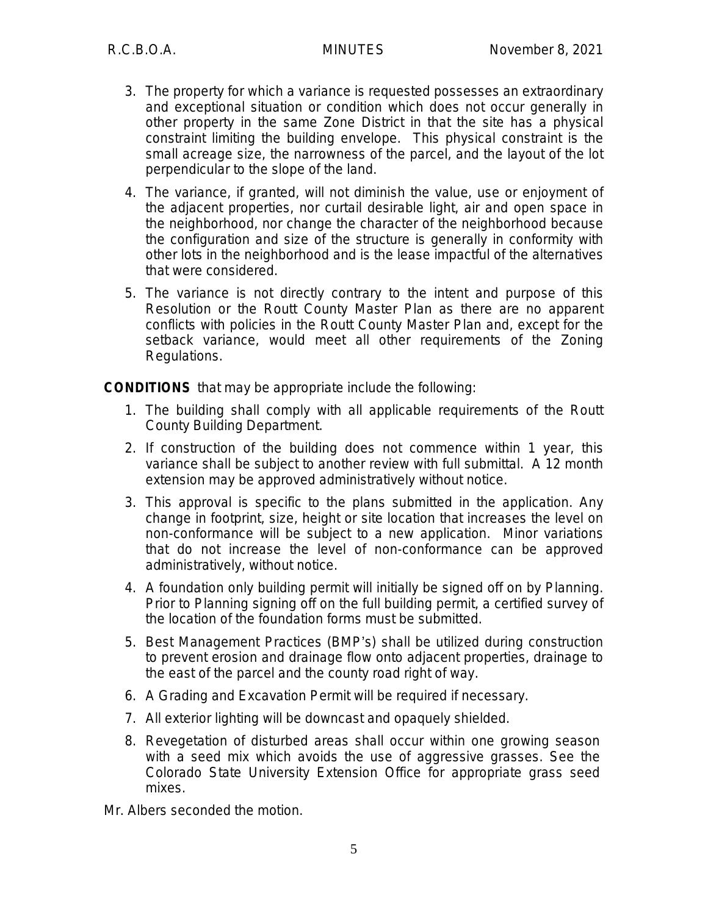- 3. The property for which a variance is requested possesses an extraordinary and exceptional situation or condition which does not occur generally in other property in the same Zone District in that the site has a physical constraint limiting the building envelope. This physical constraint is the small acreage size, the narrowness of the parcel, and the layout of the lot perpendicular to the slope of the land.
- 4. The variance, if granted, will not diminish the value, use or enjoyment of the adjacent properties, nor curtail desirable light, air and open space in the neighborhood, nor change the character of the neighborhood because the configuration and size of the structure is generally in conformity with other lots in the neighborhood and is the lease impactful of the alternatives that were considered.
- 5. The variance is not directly contrary to the intent and purpose of this Resolution or the Routt County Master Plan as there are no apparent conflicts with policies in the Routt County Master Plan and, except for the setback variance, would meet all other requirements of the Zoning Regulations.

**CONDITIONS** that may be appropriate include the following:

- 1. The building shall comply with all applicable requirements of the Routt County Building Department.
- 2. If construction of the building does not commence within 1 year, this variance shall be subject to another review with full submittal. A 12 month extension may be approved administratively without notice.
- 3. This approval is specific to the plans submitted in the application. Any change in footprint, size, height or site location that increases the level on non-conformance will be subject to a new application. Minor variations that do not increase the level of non-conformance can be approved administratively, without notice.
- 4. A foundation only building permit will initially be signed off on by Planning. Prior to Planning signing off on the full building permit, a certified survey of the location of the foundation forms must be submitted.
- 5. Best Management Practices (BMP's) shall be utilized during construction to prevent erosion and drainage flow onto adjacent properties, drainage to the east of the parcel and the county road right of way.
- 6. A Grading and Excavation Permit will be required if necessary.
- 7. All exterior lighting will be downcast and opaquely shielded.
- 8. Revegetation of disturbed areas shall occur within one growing season with a seed mix which avoids the use of aggressive grasses. See the Colorado State University Extension Office for appropriate grass seed mixes.
- Mr. Albers seconded the motion.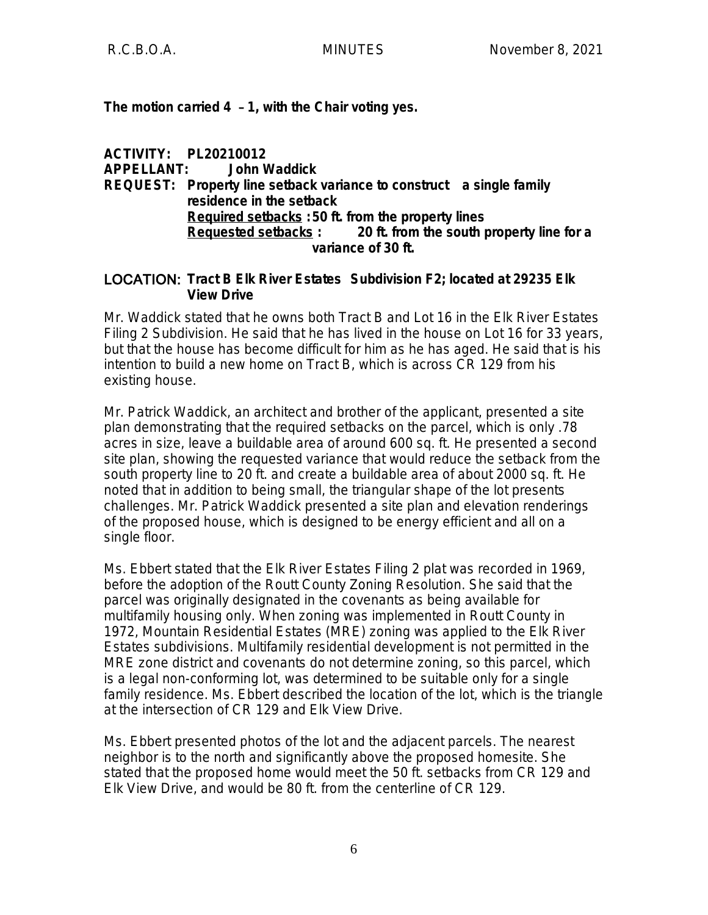**The motion carried 4** – **1, with the Chair voting yes.**

**ACTIVITY: PL20210012 APPELLANT: John Waddick REQUEST: Property line setback variance to construct a single family residence in the setback Required setbacks :50 ft. from the property lines Requested setbacks : 20 ft. from the south property line for a variance of 30 ft.**

#### LOCATION: **Tract B Elk River Estates Subdivision F2; located at 29235 Elk View Drive**

Mr. Waddick stated that he owns both Tract B and Lot 16 in the Elk River Estates Filing 2 Subdivision. He said that he has lived in the house on Lot 16 for 33 years, but that the house has become difficult for him as he has aged. He said that is his intention to build a new home on Tract B, which is across CR 129 from his existing house.

Mr. Patrick Waddick, an architect and brother of the applicant, presented a site plan demonstrating that the required setbacks on the parcel, which is only .78 acres in size, leave a buildable area of around 600 sq. ft. He presented a second site plan, showing the requested variance that would reduce the setback from the south property line to 20 ft. and create a buildable area of about 2000 sq. ft. He noted that in addition to being small, the triangular shape of the lot presents challenges. Mr. Patrick Waddick presented a site plan and elevation renderings of the proposed house, which is designed to be energy efficient and all on a single floor.

Ms. Ebbert stated that the Elk River Estates Filing 2 plat was recorded in 1969, before the adoption of the Routt County Zoning Resolution. She said that the parcel was originally designated in the covenants as being available for multifamily housing only. When zoning was implemented in Routt County in 1972, Mountain Residential Estates (MRE) zoning was applied to the Elk River Estates subdivisions. Multifamily residential development is not permitted in the MRE zone district and covenants do not determine zoning, so this parcel, which is a legal non-conforming lot, was determined to be suitable only for a single family residence. Ms. Ebbert described the location of the lot, which is the triangle at the intersection of CR 129 and Elk View Drive.

Ms. Ebbert presented photos of the lot and the adjacent parcels. The nearest neighbor is to the north and significantly above the proposed homesite. She stated that the proposed home would meet the 50 ft. setbacks from CR 129 and Elk View Drive, and would be 80 ft. from the centerline of CR 129.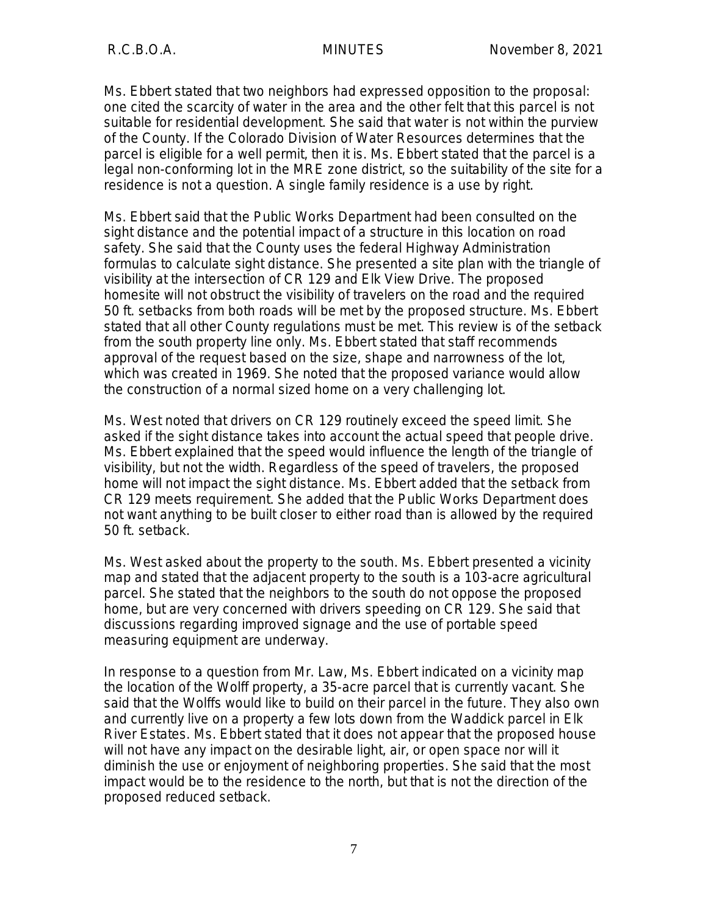Ms. Ebbert stated that two neighbors had expressed opposition to the proposal: one cited the scarcity of water in the area and the other felt that this parcel is not suitable for residential development. She said that water is not within the purview of the County. If the Colorado Division of Water Resources determines that the parcel is eligible for a well permit, then it is. Ms. Ebbert stated that the parcel is a legal non-conforming lot in the MRE zone district, so the suitability of the site for a residence is not a question. A single family residence is a use by right.

Ms. Ebbert said that the Public Works Department had been consulted on the sight distance and the potential impact of a structure in this location on road safety. She said that the County uses the federal Highway Administration formulas to calculate sight distance. She presented a site plan with the triangle of visibility at the intersection of CR 129 and Elk View Drive. The proposed homesite will not obstruct the visibility of travelers on the road and the required 50 ft. setbacks from both roads will be met by the proposed structure. Ms. Ebbert stated that all other County regulations must be met. This review is of the setback from the south property line only. Ms. Ebbert stated that staff recommends approval of the request based on the size, shape and narrowness of the lot, which was created in 1969. She noted that the proposed variance would allow the construction of a normal sized home on a very challenging lot.

Ms. West noted that drivers on CR 129 routinely exceed the speed limit. She asked if the sight distance takes into account the actual speed that people drive. Ms. Ebbert explained that the speed would influence the length of the triangle of visibility, but not the width. Regardless of the speed of travelers, the proposed home will not impact the sight distance. Ms. Ebbert added that the setback from CR 129 meets requirement. She added that the Public Works Department does not want anything to be built closer to either road than is allowed by the required 50 ft. setback.

Ms. West asked about the property to the south. Ms. Ebbert presented a vicinity map and stated that the adjacent property to the south is a 103-acre agricultural parcel. She stated that the neighbors to the south do not oppose the proposed home, but are very concerned with drivers speeding on CR 129. She said that discussions regarding improved signage and the use of portable speed measuring equipment are underway.

In response to a question from Mr. Law, Ms. Ebbert indicated on a vicinity map the location of the Wolff property, a 35-acre parcel that is currently vacant. She said that the Wolffs would like to build on their parcel in the future. They also own and currently live on a property a few lots down from the Waddick parcel in Elk River Estates. Ms. Ebbert stated that it does not appear that the proposed house will not have any impact on the desirable light, air, or open space nor will it diminish the use or enjoyment of neighboring properties. She said that the most impact would be to the residence to the north, but that is not the direction of the proposed reduced setback.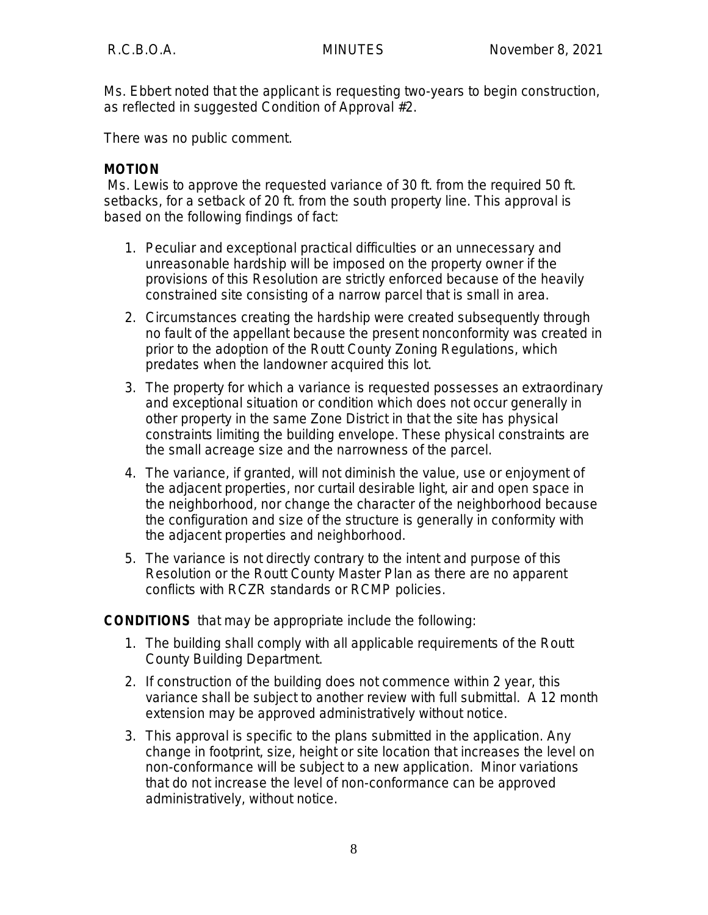Ms. Ebbert noted that the applicant is requesting two-years to begin construction, as reflected in suggested Condition of Approval #2.

There was no public comment.

# **MOTION**

Ms. Lewis to approve the requested variance of 30 ft. from the required 50 ft. setbacks, for a setback of 20 ft. from the south property line. This approval is based on the following findings of fact:

- 1. Peculiar and exceptional practical difficulties or an unnecessary and unreasonable hardship will be imposed on the property owner if the provisions of this Resolution are strictly enforced because of the heavily constrained site consisting of a narrow parcel that is small in area.
- 2. Circumstances creating the hardship were created subsequently through no fault of the appellant because the present nonconformity was created in prior to the adoption of the Routt County Zoning Regulations, which predates when the landowner acquired this lot.
- 3. The property for which a variance is requested possesses an extraordinary and exceptional situation or condition which does not occur generally in other property in the same Zone District in that the site has physical constraints limiting the building envelope. These physical constraints are the small acreage size and the narrowness of the parcel.
- 4. The variance, if granted, will not diminish the value, use or enjoyment of the adjacent properties, nor curtail desirable light, air and open space in the neighborhood, nor change the character of the neighborhood because the configuration and size of the structure is generally in conformity with the adjacent properties and neighborhood.
- 5. The variance is not directly contrary to the intent and purpose of this Resolution or the Routt County Master Plan as there are no apparent conflicts with RCZR standards or RCMP policies.

**CONDITIONS** that may be appropriate include the following:

- 1. The building shall comply with all applicable requirements of the Routt County Building Department.
- 2. If construction of the building does not commence within 2 year, this variance shall be subject to another review with full submittal. A 12 month extension may be approved administratively without notice.
- 3. This approval is specific to the plans submitted in the application. Any change in footprint, size, height or site location that increases the level on non-conformance will be subject to a new application. Minor variations that do not increase the level of non-conformance can be approved administratively, without notice.